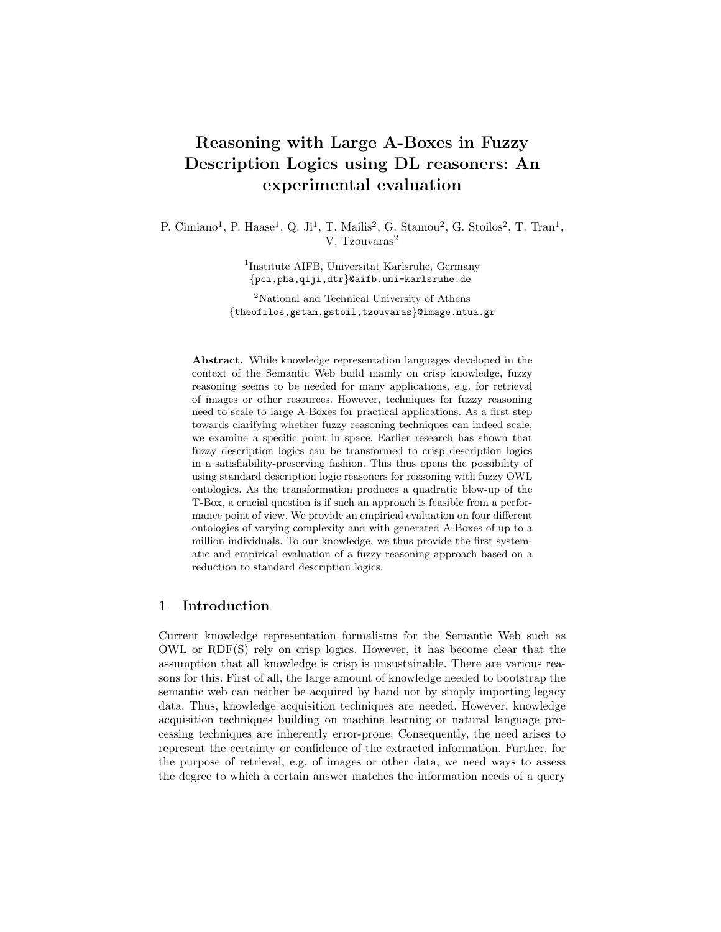# Reasoning with Large A-Boxes in Fuzzy Description Logics using DL reasoners: An experimental evaluation

P. Cimiano<sup>1</sup>, P. Haase<sup>1</sup>, Q. Ji<sup>1</sup>, T. Mailis<sup>2</sup>, G. Stamou<sup>2</sup>, G. Stoilos<sup>2</sup>, T. Tran<sup>1</sup>, V. Tzouvaras<sup>2</sup>

> <sup>1</sup>Institute AIFB, Universität Karlsruhe, Germany {pci,pha,qiji,dtr}@aifb.uni-karlsruhe.de

<sup>2</sup>National and Technical University of Athens {theofilos,gstam,gstoil,tzouvaras}@image.ntua.gr

Abstract. While knowledge representation languages developed in the context of the Semantic Web build mainly on crisp knowledge, fuzzy reasoning seems to be needed for many applications, e.g. for retrieval of images or other resources. However, techniques for fuzzy reasoning need to scale to large A-Boxes for practical applications. As a first step towards clarifying whether fuzzy reasoning techniques can indeed scale, we examine a specific point in space. Earlier research has shown that fuzzy description logics can be transformed to crisp description logics in a satisfiability-preserving fashion. This thus opens the possibility of using standard description logic reasoners for reasoning with fuzzy OWL ontologies. As the transformation produces a quadratic blow-up of the T-Box, a crucial question is if such an approach is feasible from a performance point of view. We provide an empirical evaluation on four different ontologies of varying complexity and with generated A-Boxes of up to a million individuals. To our knowledge, we thus provide the first systematic and empirical evaluation of a fuzzy reasoning approach based on a reduction to standard description logics.

# 1 Introduction

Current knowledge representation formalisms for the Semantic Web such as OWL or RDF(S) rely on crisp logics. However, it has become clear that the assumption that all knowledge is crisp is unsustainable. There are various reasons for this. First of all, the large amount of knowledge needed to bootstrap the semantic web can neither be acquired by hand nor by simply importing legacy data. Thus, knowledge acquisition techniques are needed. However, knowledge acquisition techniques building on machine learning or natural language processing techniques are inherently error-prone. Consequently, the need arises to represent the certainty or confidence of the extracted information. Further, for the purpose of retrieval, e.g. of images or other data, we need ways to assess the degree to which a certain answer matches the information needs of a query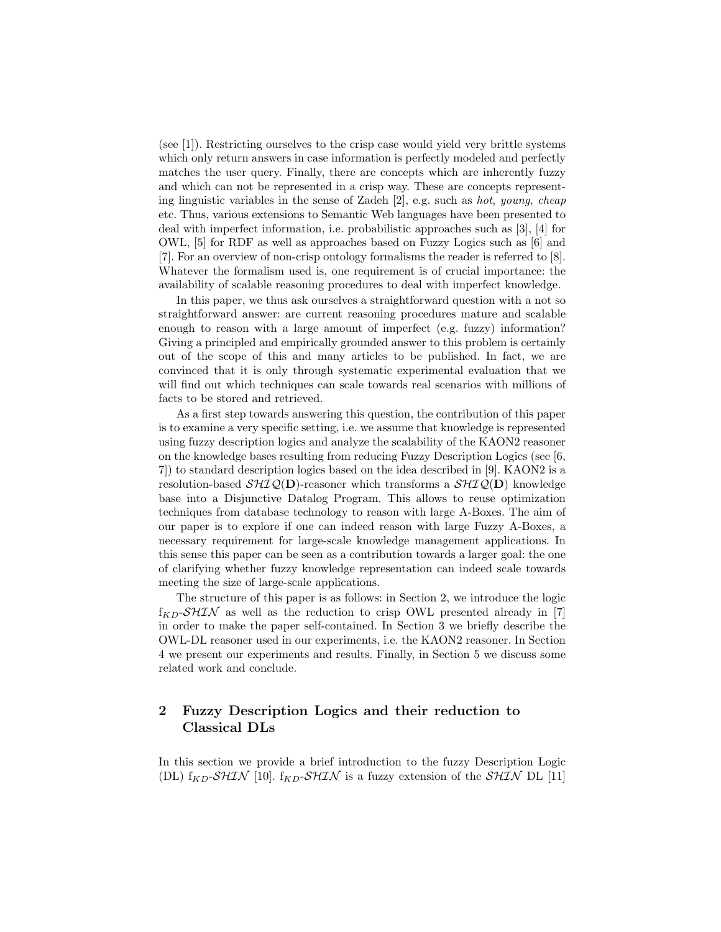(see [1]). Restricting ourselves to the crisp case would yield very brittle systems which only return answers in case information is perfectly modeled and perfectly matches the user query. Finally, there are concepts which are inherently fuzzy and which can not be represented in a crisp way. These are concepts representing linguistic variables in the sense of Zadeh [2], e.g. such as hot, young, cheap etc. Thus, various extensions to Semantic Web languages have been presented to deal with imperfect information, i.e. probabilistic approaches such as [3], [4] for OWL, [5] for RDF as well as approaches based on Fuzzy Logics such as [6] and [7]. For an overview of non-crisp ontology formalisms the reader is referred to [8]. Whatever the formalism used is, one requirement is of crucial importance: the availability of scalable reasoning procedures to deal with imperfect knowledge.

In this paper, we thus ask ourselves a straightforward question with a not so straightforward answer: are current reasoning procedures mature and scalable enough to reason with a large amount of imperfect (e.g. fuzzy) information? Giving a principled and empirically grounded answer to this problem is certainly out of the scope of this and many articles to be published. In fact, we are convinced that it is only through systematic experimental evaluation that we will find out which techniques can scale towards real scenarios with millions of facts to be stored and retrieved.

As a first step towards answering this question, the contribution of this paper is to examine a very specific setting, i.e. we assume that knowledge is represented using fuzzy description logics and analyze the scalability of the KAON2 reasoner on the knowledge bases resulting from reducing Fuzzy Description Logics (see [6, 7]) to standard description logics based on the idea described in [9]. KAON2 is a resolution-based  $\mathcal{SHIQ}(\mathbf{D})$ -reasoner which transforms a  $\mathcal{SHIQ}(\mathbf{D})$  knowledge base into a Disjunctive Datalog Program. This allows to reuse optimization techniques from database technology to reason with large A-Boxes. The aim of our paper is to explore if one can indeed reason with large Fuzzy A-Boxes, a necessary requirement for large-scale knowledge management applications. In this sense this paper can be seen as a contribution towards a larger goal: the one of clarifying whether fuzzy knowledge representation can indeed scale towards meeting the size of large-scale applications.

The structure of this paper is as follows: in Section 2, we introduce the logic  $f_{KD}SHIN$  as well as the reduction to crisp OWL presented already in [7] in order to make the paper self-contained. In Section 3 we briefly describe the OWL-DL reasoner used in our experiments, i.e. the KAON2 reasoner. In Section 4 we present our experiments and results. Finally, in Section 5 we discuss some related work and conclude.

# 2 Fuzzy Description Logics and their reduction to Classical DLs

In this section we provide a brief introduction to the fuzzy Description Logic (DL)  $f_{KD}SHIN$  [10].  $f_{KD}SHIN$  is a fuzzy extension of the  $SHIN$  DL [11]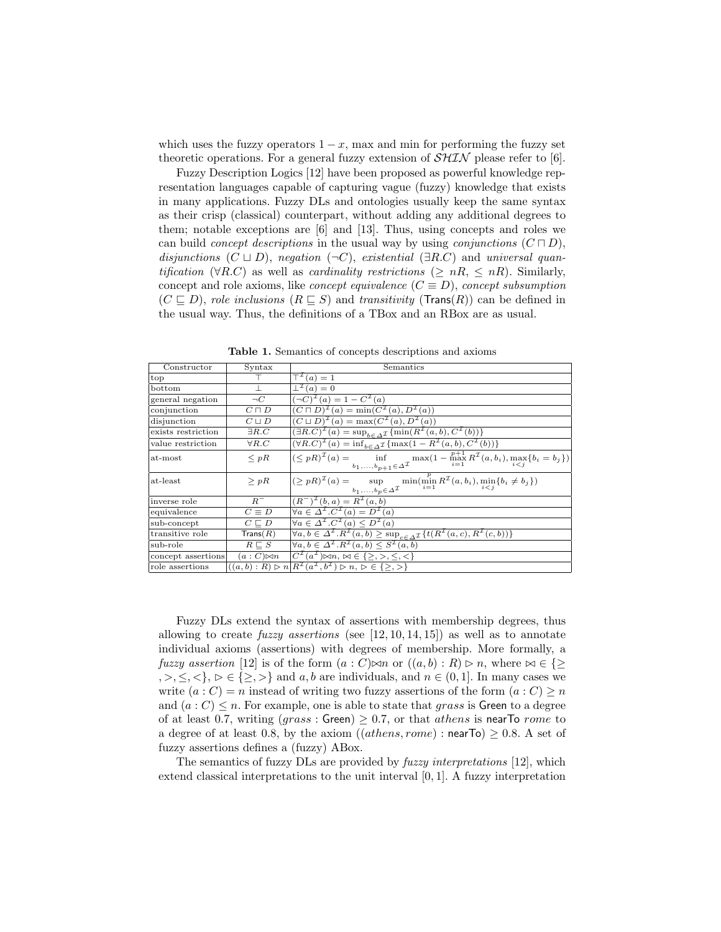which uses the fuzzy operators  $1 - x$ , max and min for performing the fuzzy set theoretic operations. For a general fuzzy extension of  $\mathcal{SHIN}$  please refer to [6].

Fuzzy Description Logics [12] have been proposed as powerful knowledge representation languages capable of capturing vague (fuzzy) knowledge that exists in many applications. Fuzzy DLs and ontologies usually keep the same syntax as their crisp (classical) counterpart, without adding any additional degrees to them; notable exceptions are [6] and [13]. Thus, using concepts and roles we can build *concept descriptions* in the usual way by using *conjunctions*  $(C \sqcap D)$ , disjunctions  $(C \sqcup D)$ , negation  $(\neg C)$ , existential  $(\exists R.C)$  and universal quantification ( $\forall R.C$ ) as well as *cardinality restrictions* ( $\geq nR, \leq nR$ ). Similarly, concept and role axioms, like *concept equivalence*  $(C \equiv D)$ , *concept subsumption*  $(C \sqsubseteq D)$ , role inclusions  $(R \sqsubseteq S)$  and transitivity (Trans(R)) can be defined in the usual way. Thus, the definitions of a TBox and an RBox are as usual.

Table 1. Semantics of concepts descriptions and axioms

| Constructor        | Syntax              | Semantics                                                                                                                                                                                                           |
|--------------------|---------------------|---------------------------------------------------------------------------------------------------------------------------------------------------------------------------------------------------------------------|
| top                |                     | $T^L(a) = 1$                                                                                                                                                                                                        |
| bottom             |                     | $\perp^{\perp}(a) = 0$                                                                                                                                                                                              |
| general negation   | $\neg C$            | $(\neg C)^{\mathcal{I}}(a) = 1 - C^{\mathcal{I}}(a)$                                                                                                                                                                |
| conjunction        | $C\sqcap D$         | $(C \sqcap D)^{\mathcal{I}}(a) = \min(C^{\mathcal{I}}(a), D^{\mathcal{I}}(a))$                                                                                                                                      |
| disjunction        | $C \sqcup D$        | $(C \sqcup D)^{\mathcal{I}}(a) = \max(C^{\mathcal{I}}(a), D^{\mathcal{I}}(a))$                                                                                                                                      |
| exists restriction | $\exists R.C$       | $(\exists R.C)^{\mathcal{I}}(a) = \sup_{b \in \Delta^{\mathcal{I}}} {\min(R^{\mathcal{I}}(a, b), C^{\mathcal{I}}(b))}$                                                                                              |
| value restriction  | $\forall R.C$       | $(\forall R.C)^{\mathcal{I}}(a) = \inf_{b \in \Delta \mathcal{I}} \{ \max(1 - R^{\mathcal{I}}(a, b), C^{\mathcal{I}}(b)) \}$                                                                                        |
| at-most            | $\langle pR$        | $\left  (\leq pR)^{\mathcal{I}}(a) = \inf_{b_1,,b_{p+1} \in \Delta^{\mathcal{I}}} \max(1 - \max_{i=1}^{p+1} R^{\mathcal{I}}(a, b_i), \max_{i < j} \{b_i = b_j\}) \right $                                           |
| at-least           | > pR                | $(\geq pR)^{\mathcal{I}}(a) = \sup_{\substack{u \in \mathcal{I} \\ u \in \mathcal{I}}} \min(\min_{i=1}^{p} R^{\mathcal{I}}(a, b_i), \min_{i \leq i} \{b_i \neq b_j\})$<br>$b_1,\ldots,b_p \in \Delta^{\mathcal{I}}$ |
| inverse role       | $R^-$               | $(R^{-})^{\mathcal{I}}(b,a) = R^{\mathcal{I}}(a,b)$                                                                                                                                                                 |
| equivalence        | $C \equiv D$        | $\forall a \in \Delta^{\mathcal{I}}. C^{\mathcal{I}}(a) = D^{\mathcal{I}}(a)$                                                                                                                                       |
| sub-concept        | $C \sqsubseteq D$   | $\forall a \in \Delta^{\mathcal{I}}$ . $C^{\mathcal{I}}(a) \leq D^{\mathcal{I}}(a)$                                                                                                                                 |
| transitive role    | $\mathsf{Trans}(R)$ | $\forall a, b \in \Delta^{\mathcal{I}}. R^{\mathcal{I}}(a, b) \ge \sup_{c \in \Delta^{\mathcal{I}}} \{t(R^{\mathcal{I}}(a, c), R^{\mathcal{I}}(c, b))\}$                                                            |
| sub-role           | $R \sqsubset S$     | $\forall a, b \in \Delta^{\mathcal{I}}. R^{\mathcal{I}}(a, b) \leq S^{\mathcal{I}}(a, b)$                                                                                                                           |
| concept assertions | $(a:C)\bowtie n$    | $\overline{C^{\mathcal{I}}(a^{\mathcal{I}}) \bowtie n, \bowtie \in \{\geq, >, \leq, <\}}$                                                                                                                           |
| role assertions    |                     | $((a, b) : R) \triangleright n   R^{\mathcal{I}}(a^{\mathcal{I}}, b^{\mathcal{I}}) \triangleright n, \triangleright \in \{\geq, \gt\}$                                                                              |

Fuzzy DLs extend the syntax of assertions with membership degrees, thus allowing to create *fuzzy assertions* (see  $[12, 10, 14, 15]$ ) as well as to annotate individual axioms (assertions) with degrees of membership. More formally, a fuzzy assertion [12] is of the form  $(a : C) \bowtie n$  or  $((a, b) : R) \triangleright n$ , where  $\bowtie \in \{\geq$  $, >, \leq, \leq \}, \, \triangleright \in \{\geq, >\}$  and a, b are individuals, and  $n \in (0, 1]$ . In many cases we write  $(a : C) = n$  instead of writing two fuzzy assertions of the form  $(a : C) \geq n$ and  $(a: C) \leq n$ . For example, one is able to state that grass is Green to a degree of at least 0.7, writing  $(qrass : Green) \geq 0.7$ , or that *athens* is near To rome to a degree of at least 0.8, by the axiom  $((athens,rome):nearTo) > 0.8$ . A set of fuzzy assertions defines a (fuzzy) ABox.

The semantics of fuzzy DLs are provided by fuzzy interpretations [12], which extend classical interpretations to the unit interval [0, 1]. A fuzzy interpretation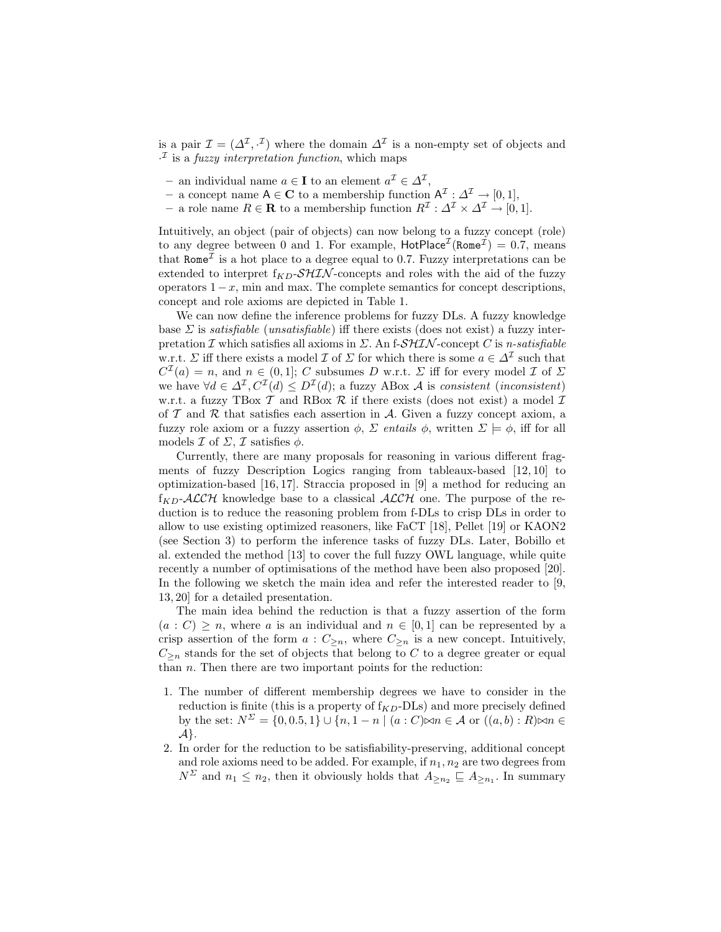is a pair  $\mathcal{I} = (\Delta^{\mathcal{I}}, \cdot^{\mathcal{I}})$  where the domain  $\Delta^{\mathcal{I}}$  is a non-empty set of objects and  $\cdot^{\mathcal{I}}$  is a *fuzzy interpretation function*, which maps

- an individual name  $a \in I$  to an element  $a^{\mathcal{I}} \in \Delta^{\mathcal{I}},$
- a concept name A ∈ C to a membership function  $A^{\mathcal{I}}: \Delta^{\mathcal{I}} \to [0,1],$
- a role name  $R \in \mathbf{R}$  to a membership function  $R^{\mathcal{I}}: \Delta^{\mathcal{I}} \times \Delta^{\mathcal{I}} \to [0,1].$

Intuitively, an object (pair of objects) can now belong to a fuzzy concept (role) to any degree between 0 and 1. For example,  $HotPlace^{\mathcal{I}}( Rome^{\mathcal{I}}) = 0.7$ , means that  $\text{Rome}^{\mathcal{I}}$  is a hot place to a degree equal to 0.7. Fuzzy interpretations can be extended to interpret  $f_{KD}$ -SHIN-concepts and roles with the aid of the fuzzy operators  $1-x$ , min and max. The complete semantics for concept descriptions, concept and role axioms are depicted in Table 1.

We can now define the inference problems for fuzzy DLs. A fuzzy knowledge base  $\Sigma$  is *satisfiable* (*unsatisfiable*) iff there exists (does not exist) a fuzzy interpretation  $\mathcal I$  which satisfies all axioms in  $\Sigma$ . An f- $\mathcal{SHIN}$ -concept  $C$  is *n*-satisfiable w.r.t.  $\Sigma$  iff there exists a model  $\mathcal I$  of  $\Sigma$  for which there is some  $a \in \Delta^{\mathcal I}$  such that  $C^{\mathcal{I}}(a) = n$ , and  $n \in (0,1]$ ; C subsumes D w.r.t.  $\Sigma$  iff for every model  $\mathcal{I}$  of  $\Sigma$ we have  $\forall d \in \Delta^{\mathcal{I}}, C^{\mathcal{I}}(d) \leq D^{\mathcal{I}}(d)$ ; a fuzzy ABox A is consistent (inconsistent) w.r.t. a fuzzy TBox  $\mathcal T$  and RBox  $\mathcal R$  if there exists (does not exist) a model  $\mathcal I$ of  $T$  and  $R$  that satisfies each assertion in  $A$ . Given a fuzzy concept axiom, a fuzzy role axiom or a fuzzy assertion  $\phi$ ,  $\Sigma$  entails  $\phi$ , written  $\Sigma \models \phi$ , iff for all models  $\mathcal I$  of  $\mathcal \Sigma$ ,  $\mathcal I$  satisfies  $\phi$ .

Currently, there are many proposals for reasoning in various different fragments of fuzzy Description Logics ranging from tableaux-based [12, 10] to optimization-based [16, 17]. Straccia proposed in [9] a method for reducing an  $f_{KD}$ -ALCH knowledge base to a classical ALCH one. The purpose of the reduction is to reduce the reasoning problem from f-DLs to crisp DLs in order to allow to use existing optimized reasoners, like FaCT [18], Pellet [19] or KAON2 (see Section 3) to perform the inference tasks of fuzzy DLs. Later, Bobillo et al. extended the method [13] to cover the full fuzzy OWL language, while quite recently a number of optimisations of the method have been also proposed [20]. In the following we sketch the main idea and refer the interested reader to [9, 13, 20] for a detailed presentation.

The main idea behind the reduction is that a fuzzy assertion of the form  $(a : C) \geq n$ , where a is an individual and  $n \in [0, 1]$  can be represented by a crisp assertion of the form  $a: C_{\geq n}$ , where  $C_{\geq n}$  is a new concept. Intuitively,  $C_{\geq n}$  stands for the set of objects that belong to C to a degree greater or equal than  $n$ . Then there are two important points for the reduction:

- 1. The number of different membership degrees we have to consider in the reduction is finite (this is a property of  $f_{KD}$ -DLs) and more precisely defined by the set:  $N^{\Sigma} = \{0, 0.5, 1\} \cup \{n, 1 - n \mid (a : C) \infty n \in \mathcal{A} \text{ or } ((a, b) : R) \infty n \in \mathcal{A} \}$  $A$ .
- 2. In order for the reduction to be satisfiability-preserving, additional concept and role axioms need to be added. For example, if  $n_1, n_2$  are two degrees from  $N^{\Sigma}$  and  $n_1 \leq n_2$ , then it obviously holds that  $A_{\geq n_2} \sqsubseteq A_{\geq n_1}$ . In summary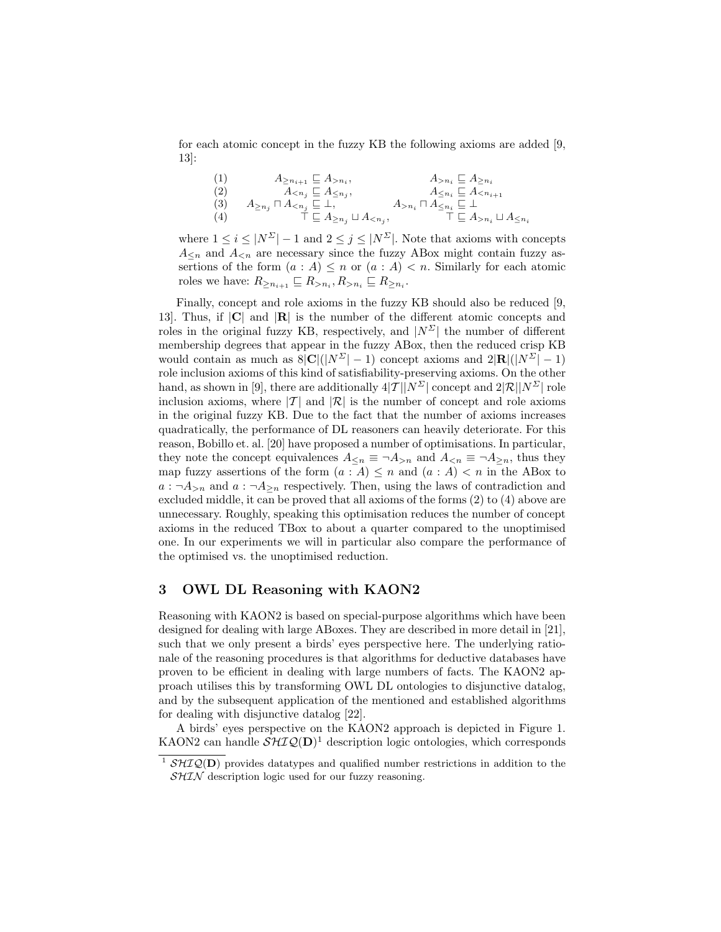for each atomic concept in the fuzzy KB the following axioms are added [9, 13]:

(1)  
\n
$$
A_{\ge n_{i+1}} \subseteq A_{>n_{i}},
$$
\n(2)  
\n
$$
A_{\le n_{j}} \subseteq A_{\le n_{j}},
$$
\n
$$
A_{\ge n_{j}} \cap A_{\le n_{j}} \subseteq A_{\le n_{j}},
$$
\n(3)  
\n
$$
A_{\ge n_{j}} \cap A_{\le n_{j}} \subseteq \bot,
$$
\n
$$
A_{>n_{i}} \cap A_{\le n_{i}} \subseteq \bot
$$
\n(4)  
\n
$$
A_{\ge n_{j}} \cup A_{\le n_{j}},
$$
\n
$$
A_{>n_{i}} \cap A_{\le n_{i}} \subseteq \bot
$$
\n
$$
A_{\ge n_{i}} \cup A_{\le n_{i}}
$$

where  $1 \leq i \leq |N^{\Sigma}| - 1$  and  $2 \leq j \leq |N^{\Sigma}|$ . Note that axioms with concepts  $A_{\leq n}$  and  $A_{\leq n}$  are necessary since the fuzzy ABox might contain fuzzy assertions of the form  $(a : A) \leq n$  or  $(a : A) < n$ . Similarly for each atomic roles we have:  $R_{\geq n_{i+1}} \sqsubseteq R_{>n_i}, R_{>n_i} \sqsubseteq R_{\geq n_i}$ .

Finally, concept and role axioms in the fuzzy KB should also be reduced [9, 13]. Thus, if |C| and |R| is the number of the different atomic concepts and roles in the original fuzzy KB, respectively, and  $|N^{\Sigma}|$  the number of different membership degrees that appear in the fuzzy ABox, then the reduced crisp KB would contain as much as  $8|C|(|N^{\Sigma}|-1)$  concept axioms and  $2|R|(|N^{\Sigma}|-1)$ role inclusion axioms of this kind of satisfiability-preserving axioms. On the other hand, as shown in [9], there are additionally  $4|T||N^{\Sigma}|$  concept and  $2|\mathcal{R}||N^{\Sigma}|$  role inclusion axioms, where  $|\mathcal{T}|$  and  $|\mathcal{R}|$  is the number of concept and role axioms in the original fuzzy KB. Due to the fact that the number of axioms increases quadratically, the performance of DL reasoners can heavily deteriorate. For this reason, Bobillo et. al. [20] have proposed a number of optimisations. In particular, they note the concept equivalences  $A_{\leq n} \equiv \neg A_{\geq n}$  and  $A_{\leq n} \equiv \neg A_{\geq n}$ , thus they map fuzzy assertions of the form  $(a : A) \leq n$  and  $(a : A) < n$  in the ABox to  $a : \neg A_{\geq n}$  and  $a : \neg A_{\geq n}$  respectively. Then, using the laws of contradiction and excluded middle, it can be proved that all axioms of the forms (2) to (4) above are unnecessary. Roughly, speaking this optimisation reduces the number of concept axioms in the reduced TBox to about a quarter compared to the unoptimised one. In our experiments we will in particular also compare the performance of the optimised vs. the unoptimised reduction.

## 3 OWL DL Reasoning with KAON2

Reasoning with KAON2 is based on special-purpose algorithms which have been designed for dealing with large ABoxes. They are described in more detail in [21], such that we only present a birds' eyes perspective here. The underlying rationale of the reasoning procedures is that algorithms for deductive databases have proven to be efficient in dealing with large numbers of facts. The KAON2 approach utilises this by transforming OWL DL ontologies to disjunctive datalog, and by the subsequent application of the mentioned and established algorithms for dealing with disjunctive datalog [22].

A birds' eyes perspective on the KAON2 approach is depicted in Figure 1. KAON2 can handle  $\mathcal{SHIQ}(D)^1$  description logic ontologies, which corresponds

<sup>&</sup>lt;sup>1</sup>  $\mathcal{SHIQ}(\mathbf{D})$  provides datatypes and qualified number restrictions in addition to the  $SHIN$  description logic used for our fuzzy reasoning.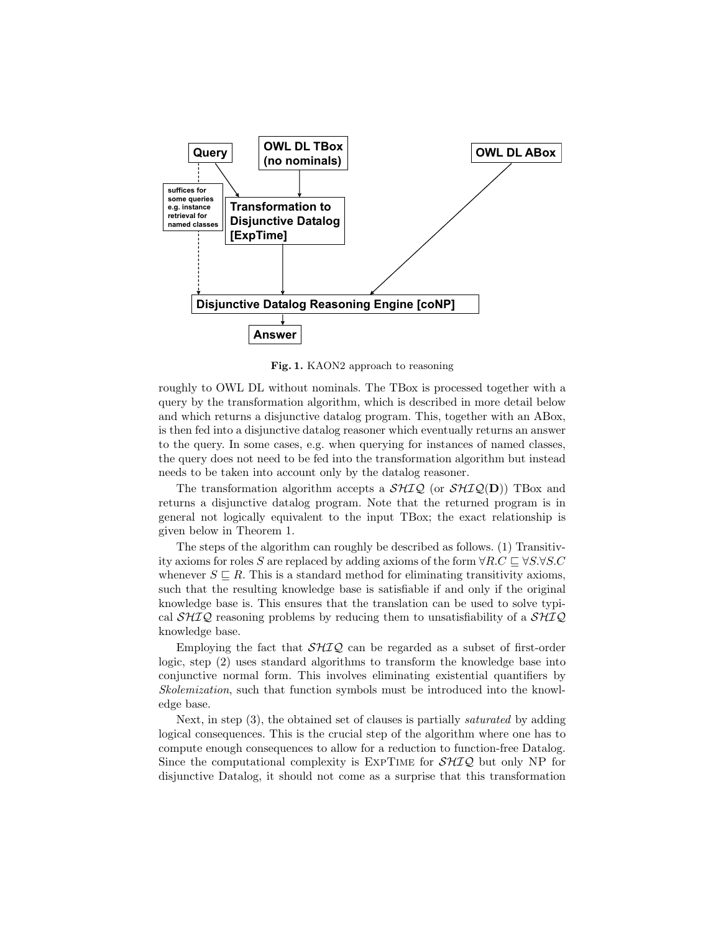

Fig. 1. KAON2 approach to reasoning

roughly to OWL DL without nominals. The TBox is processed together with a query by the transformation algorithm, which is described in more detail below and which returns a disjunctive datalog program. This, together with an ABox, is then fed into a disjunctive datalog reasoner which eventually returns an answer to the query. In some cases, e.g. when querying for instances of named classes, the query does not need to be fed into the transformation algorithm but instead needs to be taken into account only by the datalog reasoner.

The transformation algorithm accepts a  $\mathcal{SHIQ}$  (or  $\mathcal{SHIQ}(\mathbf{D})$ ) TBox and returns a disjunctive datalog program. Note that the returned program is in general not logically equivalent to the input TBox; the exact relationship is given below in Theorem 1.

The steps of the algorithm can roughly be described as follows. (1) Transitivity axioms for roles S are replaced by adding axioms of the form  $\forall R.C \sqsubset \forall S.\forall S.C$ whenever  $S \subseteq R$ . This is a standard method for eliminating transitivity axioms, such that the resulting knowledge base is satisfiable if and only if the original knowledge base is. This ensures that the translation can be used to solve typical  $\mathcal{SHIQ}$  reasoning problems by reducing them to unsatisfiability of a  $\mathcal{SHIQ}$ knowledge base.

Employing the fact that  $\mathcal{SHIQ}$  can be regarded as a subset of first-order logic, step (2) uses standard algorithms to transform the knowledge base into conjunctive normal form. This involves eliminating existential quantifiers by Skolemization, such that function symbols must be introduced into the knowledge base.

Next, in step (3), the obtained set of clauses is partially saturated by adding logical consequences. This is the crucial step of the algorithm where one has to compute enough consequences to allow for a reduction to function-free Datalog. Since the computational complexity is  $\text{EXPTIME}$  for  $\mathcal{SHIQ}$  but only NP for disjunctive Datalog, it should not come as a surprise that this transformation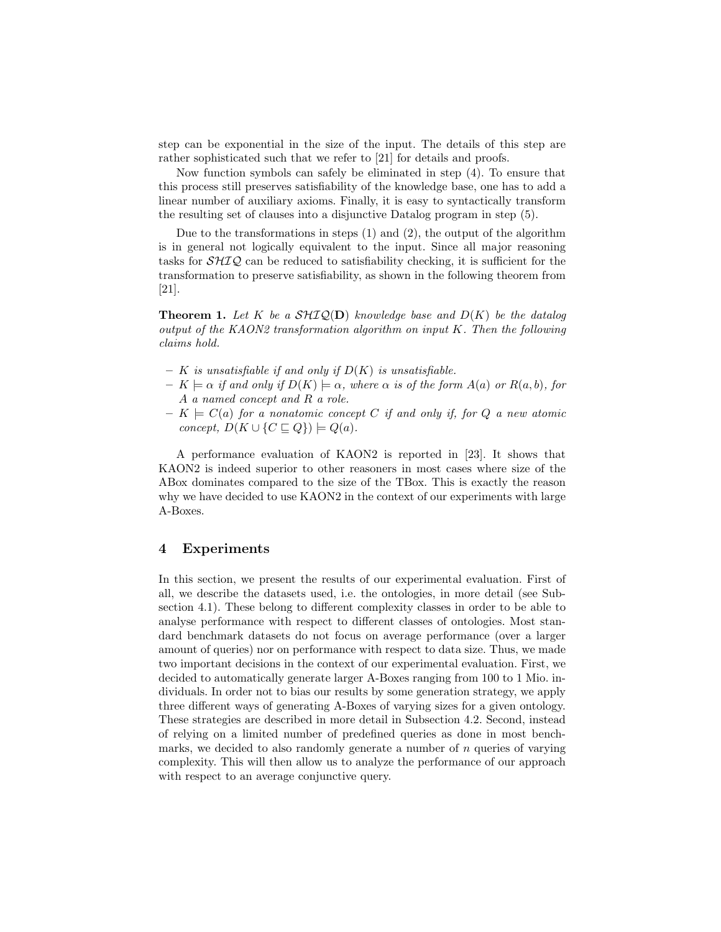step can be exponential in the size of the input. The details of this step are rather sophisticated such that we refer to [21] for details and proofs.

Now function symbols can safely be eliminated in step (4). To ensure that this process still preserves satisfiability of the knowledge base, one has to add a linear number of auxiliary axioms. Finally, it is easy to syntactically transform the resulting set of clauses into a disjunctive Datalog program in step (5).

Due to the transformations in steps  $(1)$  and  $(2)$ , the output of the algorithm is in general not logically equivalent to the input. Since all major reasoning tasks for  $\mathcal{SHIQ}$  can be reduced to satisfiability checking, it is sufficient for the transformation to preserve satisfiability, as shown in the following theorem from [21].

**Theorem 1.** Let K be a  $\mathcal{SHIQ}(\mathbf{D})$  knowledge base and  $D(K)$  be the datalog output of the KAON2 transformation algorithm on input K. Then the following claims hold.

- K is unsatisfiable if and only if  $D(K)$  is unsatisfiable.
- $K \models \alpha$  if and only if  $D(K) \models \alpha$ , where  $\alpha$  is of the form  $A(a)$  or  $R(a, b)$ , for A a named concept and R a role.
- $K \models C(a)$  for a nonatomic concept C if and only if, for Q a new atomic concept,  $D(K \cup \{C \sqsubseteq Q\}) \models Q(a)$ .

A performance evaluation of KAON2 is reported in [23]. It shows that KAON2 is indeed superior to other reasoners in most cases where size of the ABox dominates compared to the size of the TBox. This is exactly the reason why we have decided to use KAON2 in the context of our experiments with large A-Boxes.

# 4 Experiments

In this section, we present the results of our experimental evaluation. First of all, we describe the datasets used, i.e. the ontologies, in more detail (see Subsection 4.1). These belong to different complexity classes in order to be able to analyse performance with respect to different classes of ontologies. Most standard benchmark datasets do not focus on average performance (over a larger amount of queries) nor on performance with respect to data size. Thus, we made two important decisions in the context of our experimental evaluation. First, we decided to automatically generate larger A-Boxes ranging from 100 to 1 Mio. individuals. In order not to bias our results by some generation strategy, we apply three different ways of generating A-Boxes of varying sizes for a given ontology. These strategies are described in more detail in Subsection 4.2. Second, instead of relying on a limited number of predefined queries as done in most benchmarks, we decided to also randomly generate a number of  $n$  queries of varying complexity. This will then allow us to analyze the performance of our approach with respect to an average conjunctive query.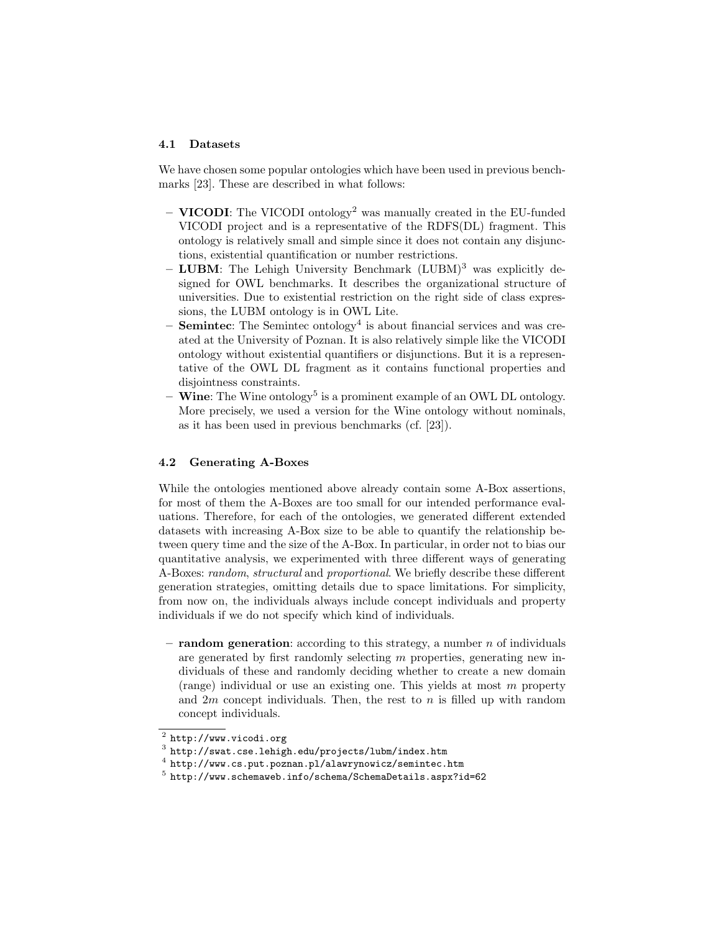#### 4.1 Datasets

We have chosen some popular ontologies which have been used in previous benchmarks [23]. These are described in what follows:

- $-$  VICODI: The VICODI ontology<sup>2</sup> was manually created in the EU-funded VICODI project and is a representative of the RDFS(DL) fragment. This ontology is relatively small and simple since it does not contain any disjunctions, existential quantification or number restrictions.
- $-$  LUBM: The Lehigh University Benchmark (LUBM)<sup>3</sup> was explicitly designed for OWL benchmarks. It describes the organizational structure of universities. Due to existential restriction on the right side of class expressions, the LUBM ontology is in OWL Lite.
- **Semintec**: The Semintec ontology<sup>4</sup> is about financial services and was created at the University of Poznan. It is also relatively simple like the VICODI ontology without existential quantifiers or disjunctions. But it is a representative of the OWL DL fragment as it contains functional properties and disjointness constraints.
- $-$  Wine: The Wine ontology<sup>5</sup> is a prominent example of an OWL DL ontology. More precisely, we used a version for the Wine ontology without nominals, as it has been used in previous benchmarks (cf. [23]).

#### 4.2 Generating A-Boxes

While the ontologies mentioned above already contain some A-Box assertions, for most of them the A-Boxes are too small for our intended performance evaluations. Therefore, for each of the ontologies, we generated different extended datasets with increasing A-Box size to be able to quantify the relationship between query time and the size of the A-Box. In particular, in order not to bias our quantitative analysis, we experimented with three different ways of generating A-Boxes: random, structural and proportional. We briefly describe these different generation strategies, omitting details due to space limitations. For simplicity, from now on, the individuals always include concept individuals and property individuals if we do not specify which kind of individuals.

– random generation: according to this strategy, a number n of individuals are generated by first randomly selecting m properties, generating new individuals of these and randomly deciding whether to create a new domain (range) individual or use an existing one. This yields at most m property and  $2m$  concept individuals. Then, the rest to n is filled up with random concept individuals.

 $^2$  http://www.vicodi.org

 $^3$  http://swat.cse.lehigh.edu/projects/lubm/index.htm

 $^4$  http://www.cs.put.poznan.pl/alawrynowicz/semintec.htm

 $^5$ http://www.schemaweb.info/schema/SchemaDetails.aspx?id=62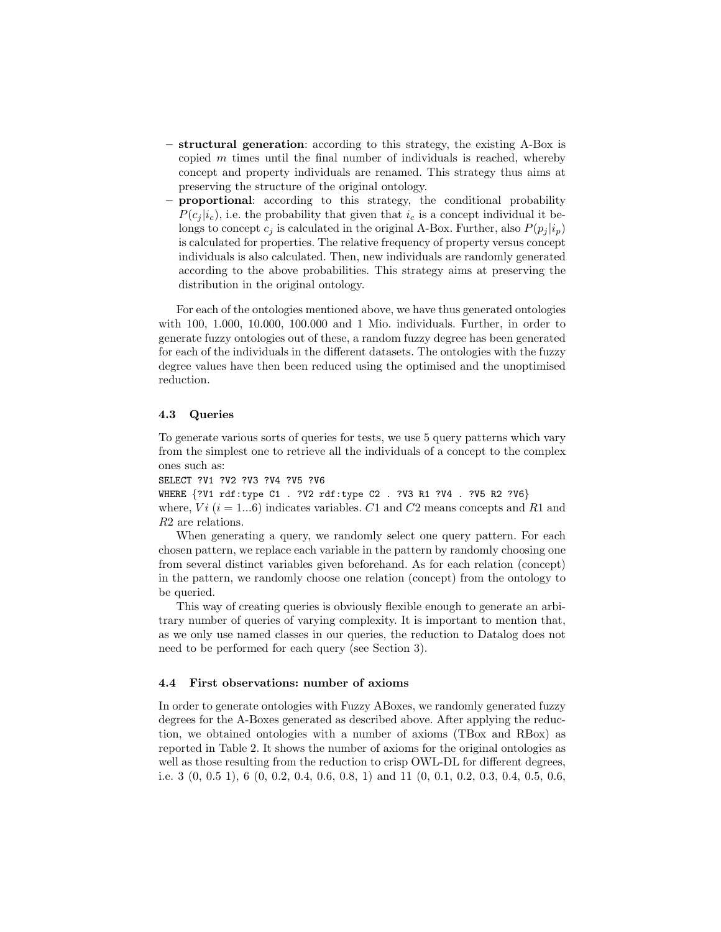- structural generation: according to this strategy, the existing A-Box is copied  $m$  times until the final number of individuals is reached, whereby concept and property individuals are renamed. This strategy thus aims at preserving the structure of the original ontology.
- proportional: according to this strategy, the conditional probability  $P(c_i | i_c)$ , i.e. the probability that given that  $i_c$  is a concept individual it belongs to concept  $c_i$  is calculated in the original A-Box. Further, also  $P(p_i | i_p)$ is calculated for properties. The relative frequency of property versus concept individuals is also calculated. Then, new individuals are randomly generated according to the above probabilities. This strategy aims at preserving the distribution in the original ontology.

For each of the ontologies mentioned above, we have thus generated ontologies with 100, 1.000, 10.000, 100.000 and 1 Mio. individuals. Further, in order to generate fuzzy ontologies out of these, a random fuzzy degree has been generated for each of the individuals in the different datasets. The ontologies with the fuzzy degree values have then been reduced using the optimised and the unoptimised reduction.

## 4.3 Queries

To generate various sorts of queries for tests, we use 5 query patterns which vary from the simplest one to retrieve all the individuals of a concept to the complex ones such as:

SELECT ?V1 ?V2 ?V3 ?V4 ?V5 ?V6

WHERE {?V1 rdf:type C1 . ?V2 rdf:type C2 . ?V3 R1 ?V4 . ?V5 R2 ?V6} where,  $Vi$  ( $i = 1...6$ ) indicates variables. C1 and C2 means concepts and R1 and R2 are relations.

When generating a query, we randomly select one query pattern. For each chosen pattern, we replace each variable in the pattern by randomly choosing one from several distinct variables given beforehand. As for each relation (concept) in the pattern, we randomly choose one relation (concept) from the ontology to be queried.

This way of creating queries is obviously flexible enough to generate an arbitrary number of queries of varying complexity. It is important to mention that, as we only use named classes in our queries, the reduction to Datalog does not need to be performed for each query (see Section 3).

#### 4.4 First observations: number of axioms

In order to generate ontologies with Fuzzy ABoxes, we randomly generated fuzzy degrees for the A-Boxes generated as described above. After applying the reduction, we obtained ontologies with a number of axioms (TBox and RBox) as reported in Table 2. It shows the number of axioms for the original ontologies as well as those resulting from the reduction to crisp OWL-DL for different degrees, i.e. 3 (0, 0.5 1), 6 (0, 0.2, 0.4, 0.6, 0.8, 1) and 11 (0, 0.1, 0.2, 0.3, 0.4, 0.5, 0.6,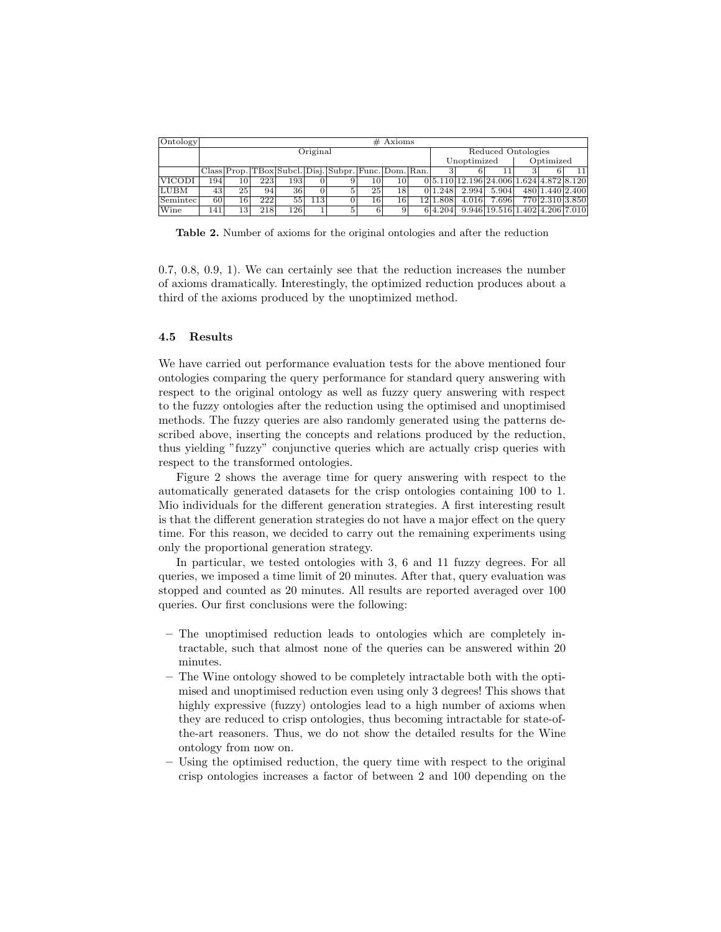| [Ontology]    | $#$ Axioms |    |     |     |     |                                                      |    |    |     |                    |       |                                           |           |                 |    |
|---------------|------------|----|-----|-----|-----|------------------------------------------------------|----|----|-----|--------------------|-------|-------------------------------------------|-----------|-----------------|----|
|               | Original   |    |     |     |     |                                                      |    |    |     | Reduced Ontologies |       |                                           |           |                 |    |
|               |            |    |     |     |     |                                                      |    |    |     | Unoptimized        |       |                                           | Optimized |                 |    |
|               |            |    |     |     |     | Class Prop. TBox Subcl. Disj. Subpr. Func. Dom. Ran. |    |    |     |                    |       |                                           |           |                 | 11 |
| <b>VICODI</b> | 194        | 10 | 223 | 193 |     |                                                      | 10 | 10 |     |                    |       | $0 5.110 12.196 24.006 1.624 4.872 8.120$ |           |                 |    |
| LUBM          | 43         | 25 | 94  | 36  |     |                                                      | 25 | 18 |     | 01.248             | 2.994 | 5.904                                     |           | 480 1.440 2.400 |    |
| Semintec      | 60         | 16 | 222 | 55  | 113 |                                                      | 16 | 16 | 121 | 1.808              | 4.016 | 7.696                                     |           | 770 2.310 3.850 |    |
| Wine          | 141        | 13 | 218 | 126 |     | 5.                                                   | 6  |    |     | 6 4.204            |       | 9.946 19.516 1.402 4.206 7.010            |           |                 |    |

Table 2. Number of axioms for the original ontologies and after the reduction

0.7, 0.8, 0.9, 1). We can certainly see that the reduction increases the number of axioms dramatically. Interestingly, the optimized reduction produces about a third of the axioms produced by the unoptimized method.

### 4.5 Results

We have carried out performance evaluation tests for the above mentioned four ontologies comparing the query performance for standard query answering with respect to the original ontology as well as fuzzy query answering with respect to the fuzzy ontologies after the reduction using the optimised and unoptimised methods. The fuzzy queries are also randomly generated using the patterns described above, inserting the concepts and relations produced by the reduction, thus yielding "fuzzy" conjunctive queries which are actually crisp queries with respect to the transformed ontologies.

Figure 2 shows the average time for query answering with respect to the automatically generated datasets for the crisp ontologies containing 100 to 1. Mio individuals for the different generation strategies. A first interesting result is that the different generation strategies do not have a major effect on the query time. For this reason, we decided to carry out the remaining experiments using only the proportional generation strategy.

In particular, we tested ontologies with 3, 6 and 11 fuzzy degrees. For all queries, we imposed a time limit of 20 minutes. After that, query evaluation was stopped and counted as 20 minutes. All results are reported averaged over 100 queries. Our first conclusions were the following:

- The unoptimised reduction leads to ontologies which are completely intractable, such that almost none of the queries can be answered within 20 minutes.
- The Wine ontology showed to be completely intractable both with the optimised and unoptimised reduction even using only 3 degrees! This shows that highly expressive (fuzzy) ontologies lead to a high number of axioms when they are reduced to crisp ontologies, thus becoming intractable for state-ofthe-art reasoners. Thus, we do not show the detailed results for the Wine ontology from now on.
- Using the optimised reduction, the query time with respect to the original crisp ontologies increases a factor of between 2 and 100 depending on the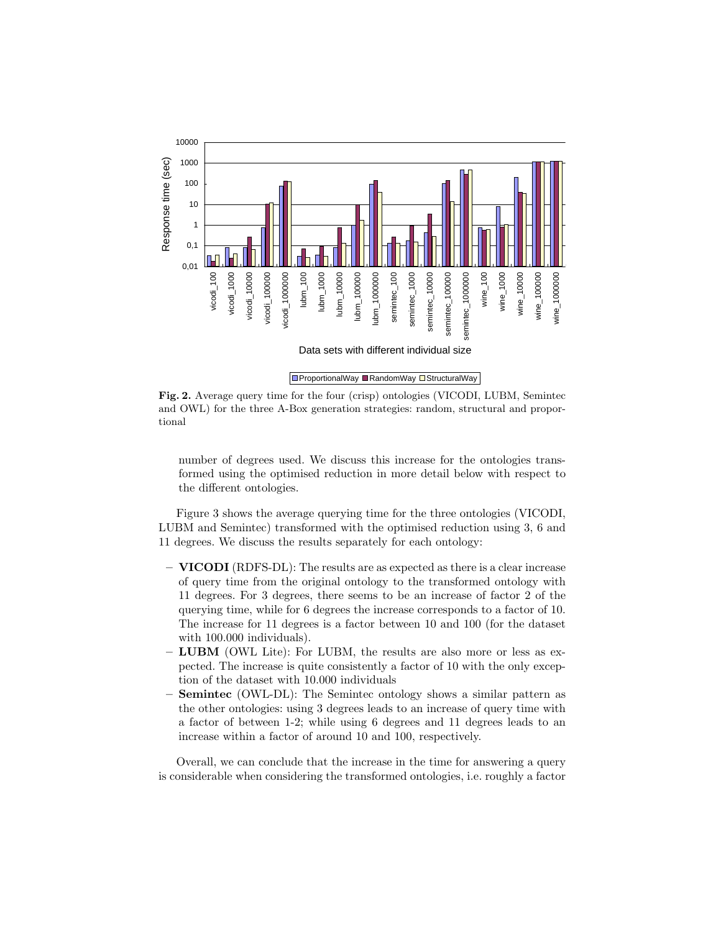

Fig. 2. Average query time for the four (crisp) ontologies (VICODI, LUBM, Semintec and OWL) for the three A-Box generation strategies: random, structural and proportional

number of degrees used. We discuss this increase for the ontologies transformed using the optimised reduction in more detail below with respect to the different ontologies.

Figure 3 shows the average querying time for the three ontologies (VICODI, LUBM and Semintec) transformed with the optimised reduction using 3, 6 and 11 degrees. We discuss the results separately for each ontology:

- VICODI (RDFS-DL): The results are as expected as there is a clear increase of query time from the original ontology to the transformed ontology with 11 degrees. For 3 degrees, there seems to be an increase of factor 2 of the querying time, while for 6 degrees the increase corresponds to a factor of 10. The increase for 11 degrees is a factor between 10 and 100 (for the dataset with 100.000 individuals).
- LUBM (OWL Lite): For LUBM, the results are also more or less as expected. The increase is quite consistently a factor of 10 with the only exception of the dataset with 10.000 individuals
- Semintec (OWL-DL): The Semintec ontology shows a similar pattern as the other ontologies: using 3 degrees leads to an increase of query time with a factor of between 1-2; while using 6 degrees and 11 degrees leads to an increase within a factor of around 10 and 100, respectively.

Overall, we can conclude that the increase in the time for answering a query is considerable when considering the transformed ontologies, i.e. roughly a factor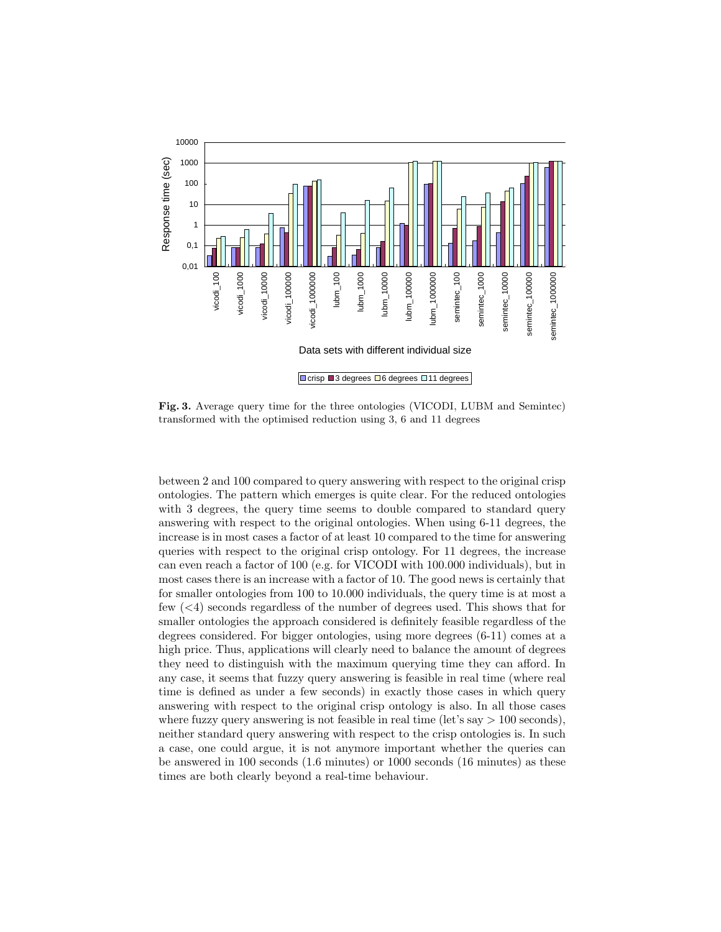

Fig. 3. Average query time for the three ontologies (VICODI, LUBM and Semintec) transformed with the optimised reduction using 3, 6 and 11 degrees

between 2 and 100 compared to query answering with respect to the original crisp ontologies. The pattern which emerges is quite clear. For the reduced ontologies with 3 degrees, the query time seems to double compared to standard query answering with respect to the original ontologies. When using 6-11 degrees, the increase is in most cases a factor of at least 10 compared to the time for answering queries with respect to the original crisp ontology. For 11 degrees, the increase can even reach a factor of 100 (e.g. for VICODI with 100.000 individuals), but in most cases there is an increase with a factor of 10. The good news is certainly that for smaller ontologies from 100 to 10.000 individuals, the query time is at most a few (<4) seconds regardless of the number of degrees used. This shows that for smaller ontologies the approach considered is definitely feasible regardless of the degrees considered. For bigger ontologies, using more degrees (6-11) comes at a high price. Thus, applications will clearly need to balance the amount of degrees they need to distinguish with the maximum querying time they can afford. In any case, it seems that fuzzy query answering is feasible in real time (where real time is defined as under a few seconds) in exactly those cases in which query answering with respect to the original crisp ontology is also. In all those cases where fuzzy query answering is not feasible in real time (let's say  $> 100$  seconds), neither standard query answering with respect to the crisp ontologies is. In such a case, one could argue, it is not anymore important whether the queries can be answered in 100 seconds (1.6 minutes) or 1000 seconds (16 minutes) as these times are both clearly beyond a real-time behaviour.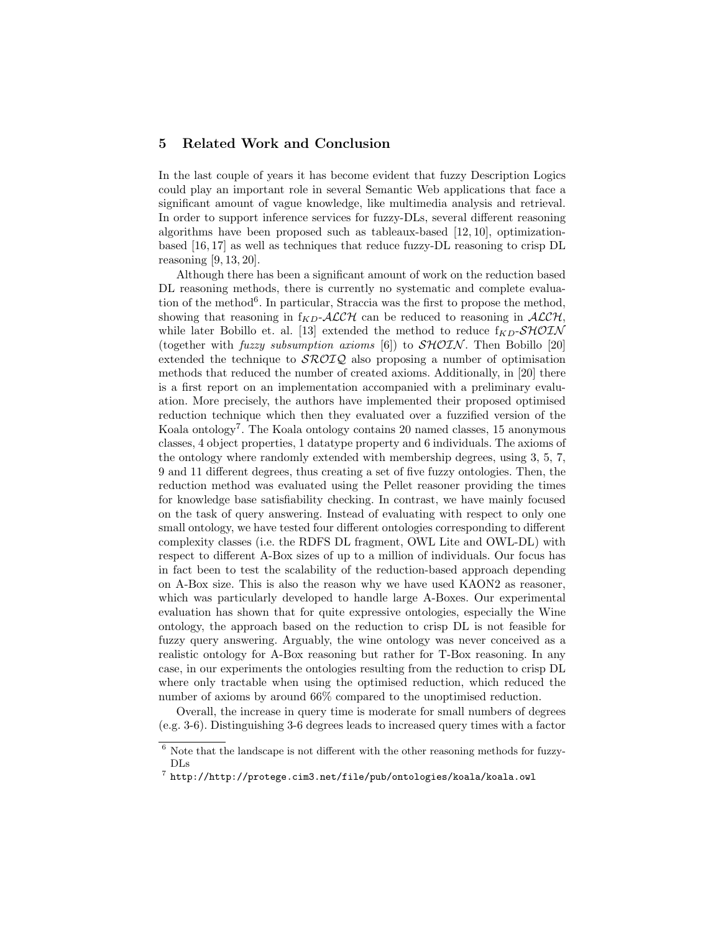# 5 Related Work and Conclusion

In the last couple of years it has become evident that fuzzy Description Logics could play an important role in several Semantic Web applications that face a significant amount of vague knowledge, like multimedia analysis and retrieval. In order to support inference services for fuzzy-DLs, several different reasoning algorithms have been proposed such as tableaux-based [12, 10], optimizationbased [16, 17] as well as techniques that reduce fuzzy-DL reasoning to crisp DL reasoning [9, 13, 20].

Although there has been a significant amount of work on the reduction based DL reasoning methods, there is currently no systematic and complete evaluation of the method<sup>6</sup>. In particular, Straccia was the first to propose the method, showing that reasoning in  $f_{KD}$ -ALCH can be reduced to reasoning in ALCH, while later Bobillo et. al. [13] extended the method to reduce  $f_{KD}$ -SHOIN (together with *fuzzy subsumption axioms* [6]) to  $\mathcal{SHOIN}$ . Then Bobillo [20] extended the technique to  $\mathcal{SROLQ}$  also proposing a number of optimisation methods that reduced the number of created axioms. Additionally, in [20] there is a first report on an implementation accompanied with a preliminary evaluation. More precisely, the authors have implemented their proposed optimised reduction technique which then they evaluated over a fuzzified version of the Koala ontology<sup>7</sup>. The Koala ontology contains 20 named classes, 15 anonymous classes, 4 object properties, 1 datatype property and 6 individuals. The axioms of the ontology where randomly extended with membership degrees, using 3, 5, 7, 9 and 11 different degrees, thus creating a set of five fuzzy ontologies. Then, the reduction method was evaluated using the Pellet reasoner providing the times for knowledge base satisfiability checking. In contrast, we have mainly focused on the task of query answering. Instead of evaluating with respect to only one small ontology, we have tested four different ontologies corresponding to different complexity classes (i.e. the RDFS DL fragment, OWL Lite and OWL-DL) with respect to different A-Box sizes of up to a million of individuals. Our focus has in fact been to test the scalability of the reduction-based approach depending on A-Box size. This is also the reason why we have used KAON2 as reasoner, which was particularly developed to handle large A-Boxes. Our experimental evaluation has shown that for quite expressive ontologies, especially the Wine ontology, the approach based on the reduction to crisp DL is not feasible for fuzzy query answering. Arguably, the wine ontology was never conceived as a realistic ontology for A-Box reasoning but rather for T-Box reasoning. In any case, in our experiments the ontologies resulting from the reduction to crisp DL where only tractable when using the optimised reduction, which reduced the number of axioms by around 66% compared to the unoptimised reduction.

Overall, the increase in query time is moderate for small numbers of degrees (e.g. 3-6). Distinguishing 3-6 degrees leads to increased query times with a factor

 $^6$  Note that the landscape is not different with the other reasoning methods for fuzzy-DLs

 $^7$  http://http://protege.cim3.net/file/pub/ontologies/koala/koala.owl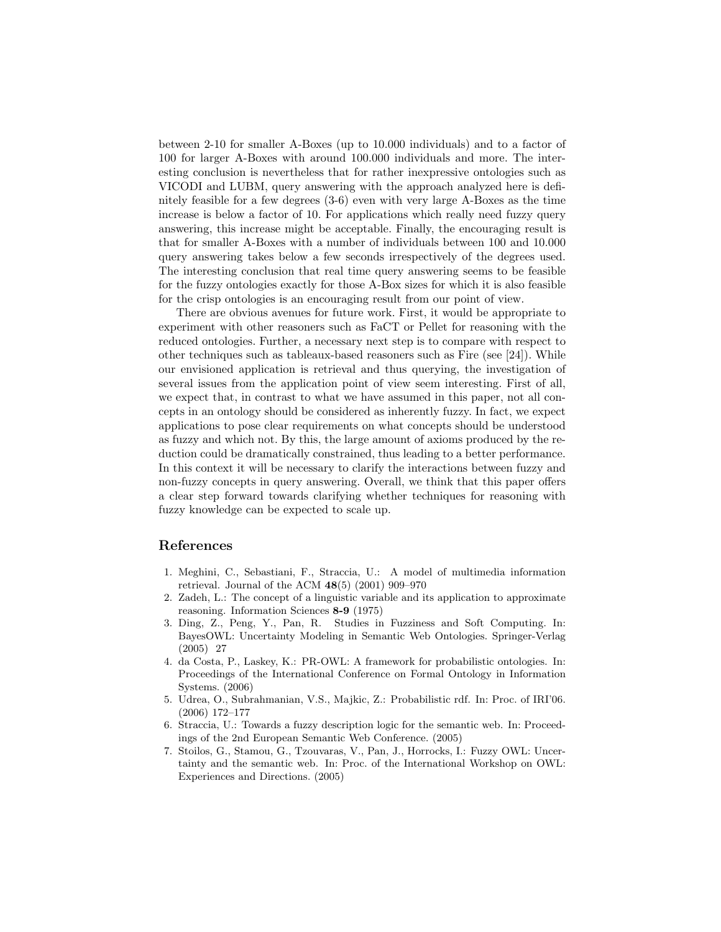between 2-10 for smaller A-Boxes (up to 10.000 individuals) and to a factor of 100 for larger A-Boxes with around 100.000 individuals and more. The interesting conclusion is nevertheless that for rather inexpressive ontologies such as VICODI and LUBM, query answering with the approach analyzed here is definitely feasible for a few degrees (3-6) even with very large A-Boxes as the time increase is below a factor of 10. For applications which really need fuzzy query answering, this increase might be acceptable. Finally, the encouraging result is that for smaller A-Boxes with a number of individuals between 100 and 10.000 query answering takes below a few seconds irrespectively of the degrees used. The interesting conclusion that real time query answering seems to be feasible for the fuzzy ontologies exactly for those A-Box sizes for which it is also feasible for the crisp ontologies is an encouraging result from our point of view.

There are obvious avenues for future work. First, it would be appropriate to experiment with other reasoners such as FaCT or Pellet for reasoning with the reduced ontologies. Further, a necessary next step is to compare with respect to other techniques such as tableaux-based reasoners such as Fire (see [24]). While our envisioned application is retrieval and thus querying, the investigation of several issues from the application point of view seem interesting. First of all, we expect that, in contrast to what we have assumed in this paper, not all concepts in an ontology should be considered as inherently fuzzy. In fact, we expect applications to pose clear requirements on what concepts should be understood as fuzzy and which not. By this, the large amount of axioms produced by the reduction could be dramatically constrained, thus leading to a better performance. In this context it will be necessary to clarify the interactions between fuzzy and non-fuzzy concepts in query answering. Overall, we think that this paper offers a clear step forward towards clarifying whether techniques for reasoning with fuzzy knowledge can be expected to scale up.

# References

- 1. Meghini, C., Sebastiani, F., Straccia, U.: A model of multimedia information retrieval. Journal of the ACM 48(5) (2001) 909–970
- 2. Zadeh, L.: The concept of a linguistic variable and its application to approximate reasoning. Information Sciences 8-9 (1975)
- 3. Ding, Z., Peng, Y., Pan, R. Studies in Fuzziness and Soft Computing. In: BayesOWL: Uncertainty Modeling in Semantic Web Ontologies. Springer-Verlag (2005) 27
- 4. da Costa, P., Laskey, K.: PR-OWL: A framework for probabilistic ontologies. In: Proceedings of the International Conference on Formal Ontology in Information Systems. (2006)
- 5. Udrea, O., Subrahmanian, V.S., Majkic, Z.: Probabilistic rdf. In: Proc. of IRI'06. (2006) 172–177
- 6. Straccia, U.: Towards a fuzzy description logic for the semantic web. In: Proceedings of the 2nd European Semantic Web Conference. (2005)
- 7. Stoilos, G., Stamou, G., Tzouvaras, V., Pan, J., Horrocks, I.: Fuzzy OWL: Uncertainty and the semantic web. In: Proc. of the International Workshop on OWL: Experiences and Directions. (2005)